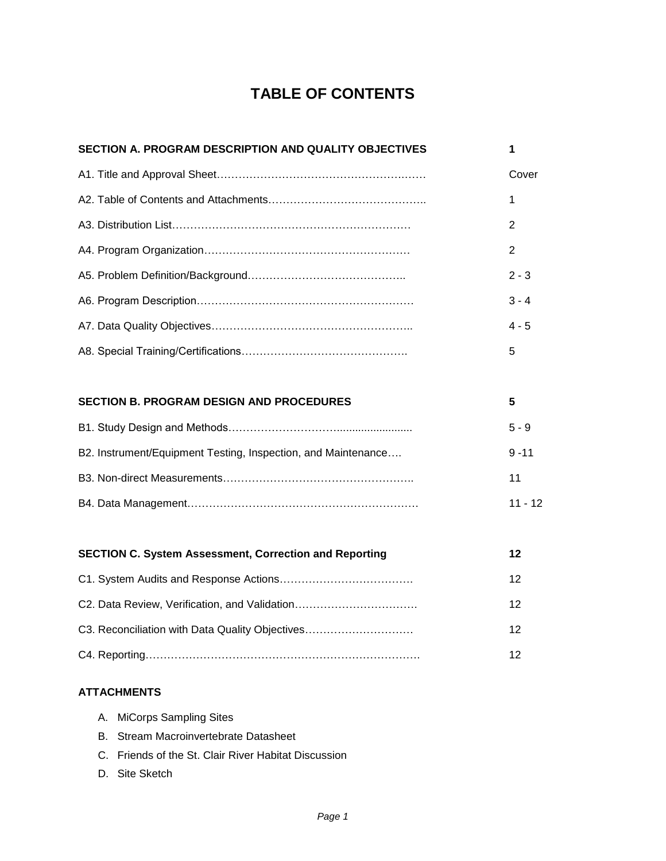# **TABLE OF CONTENTS**

| SECTION A. PROGRAM DESCRIPTION AND QUALITY OBJECTIVES         | 1              |
|---------------------------------------------------------------|----------------|
|                                                               | Cover          |
|                                                               | 1              |
|                                                               | 2              |
|                                                               | $\overline{2}$ |
|                                                               | $2 - 3$        |
|                                                               | $3 - 4$        |
|                                                               | $4 - 5$        |
|                                                               | 5              |
|                                                               |                |
| <b>SECTION B. PROGRAM DESIGN AND PROCEDURES</b>               | 5              |
|                                                               | $5 - 9$        |
| B2. Instrument/Equipment Testing, Inspection, and Maintenance | $9 - 11$       |
|                                                               | 11             |
|                                                               | $11 - 12$      |
|                                                               |                |
| <b>SECTION C. System Assessment, Correction and Reporting</b> | 12             |
|                                                               |                |

|                                                 | 12 |
|-------------------------------------------------|----|
| C2. Data Review, Verification, and Validation   | 12 |
| C3. Reconciliation with Data Quality Objectives | 12 |
|                                                 |    |

# **ATTACHMENTS**

| A. MiCorps Sampling Sites |  |
|---------------------------|--|
|---------------------------|--|

- B. Stream Macroinvertebrate Datasheet
- C. Friends of the St. Clair River Habitat Discussion
- D. Site Sketch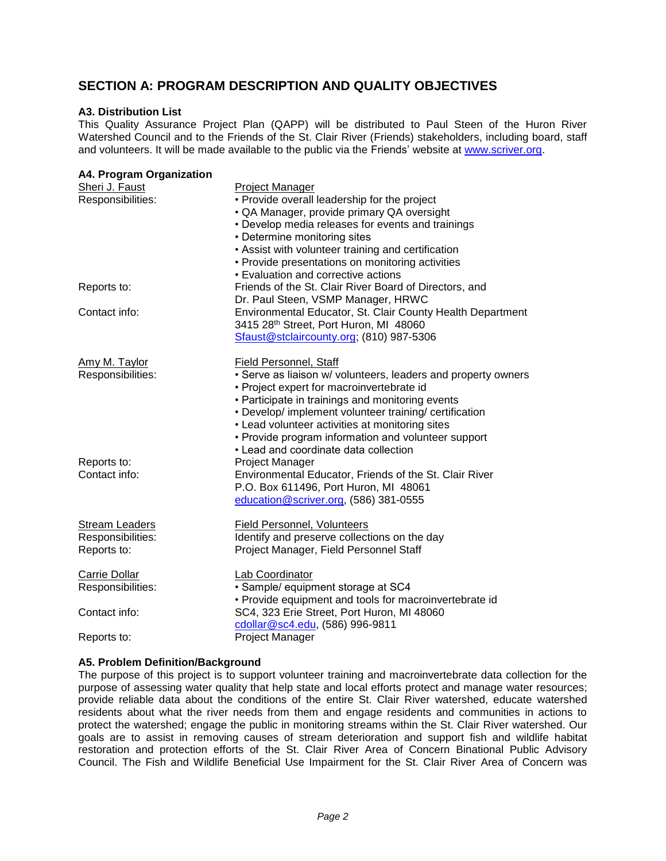# **SECTION A: PROGRAM DESCRIPTION AND QUALITY OBJECTIVES**

#### **A3. Distribution List**

This Quality Assurance Project Plan (QAPP) will be distributed to Paul Steen of the Huron River Watershed Council and to the Friends of the St. Clair River (Friends) stakeholders, including board, staff and volunteers. It will be made available to the public via the Friends' website at [www.scriver.org.](http://www.scriver.org/)

| A4. Program Organization            |                                                                                              |
|-------------------------------------|----------------------------------------------------------------------------------------------|
| Sheri J. Faust<br>Responsibilities: | <b>Project Manager</b><br>• Provide overall leadership for the project                       |
|                                     | · QA Manager, provide primary QA oversight                                                   |
|                                     | • Develop media releases for events and trainings                                            |
|                                     | • Determine monitoring sites                                                                 |
|                                     | • Assist with volunteer training and certification                                           |
|                                     | • Provide presentations on monitoring activities                                             |
|                                     | • Evaluation and corrective actions                                                          |
| Reports to:                         | Friends of the St. Clair River Board of Directors, and<br>Dr. Paul Steen, VSMP Manager, HRWC |
| Contact info:                       | Environmental Educator, St. Clair County Health Department                                   |
|                                     | 3415 28th Street, Port Huron, MI 48060                                                       |
|                                     | Sfaust@stclaircounty.org; (810) 987-5306                                                     |
| Amy M. Taylor                       | Field Personnel, Staff                                                                       |
| Responsibilities:                   | • Serve as liaison w/ volunteers, leaders and property owners                                |
|                                     | • Project expert for macroinvertebrate id                                                    |
|                                     | • Participate in trainings and monitoring events                                             |
|                                     | • Develop/ implement volunteer training/ certification                                       |
|                                     | • Lead volunteer activities at monitoring sites                                              |
|                                     | • Provide program information and volunteer support                                          |
|                                     | • Lead and coordinate data collection                                                        |
| Reports to:                         | Project Manager                                                                              |
| Contact info:                       | Environmental Educator, Friends of the St. Clair River                                       |
|                                     | P.O. Box 611496, Port Huron, MI 48061                                                        |
|                                     | education@scriver.org, (586) 381-0555                                                        |
| <b>Stream Leaders</b>               | <b>Field Personnel, Volunteers</b>                                                           |
| Responsibilities:                   | Identify and preserve collections on the day                                                 |
| Reports to:                         | Project Manager, Field Personnel Staff                                                       |
| Carrie Dollar                       | Lab Coordinator                                                                              |
| Responsibilities:                   | · Sample/ equipment storage at SC4                                                           |
|                                     | • Provide equipment and tools for macroinvertebrate id                                       |
| Contact info:                       | SC4, 323 Erie Street, Port Huron, MI 48060                                                   |
|                                     | cdollar@sc4.edu, (586) 996-9811                                                              |
| Reports to:                         | <b>Project Manager</b>                                                                       |

#### **A5. Problem Definition/Background**

The purpose of this project is to support volunteer training and macroinvertebrate data collection for the purpose of assessing water quality that help state and local efforts protect and manage water resources; provide reliable data about the conditions of the entire St. Clair River watershed, educate watershed residents about what the river needs from them and engage residents and communities in actions to protect the watershed; engage the public in monitoring streams within the St. Clair River watershed. Our goals are to assist in removing causes of stream deterioration and support fish and wildlife habitat restoration and protection efforts of the St. Clair River Area of Concern Binational Public Advisory Council. The Fish and Wildlife Beneficial Use Impairment for the St. Clair River Area of Concern was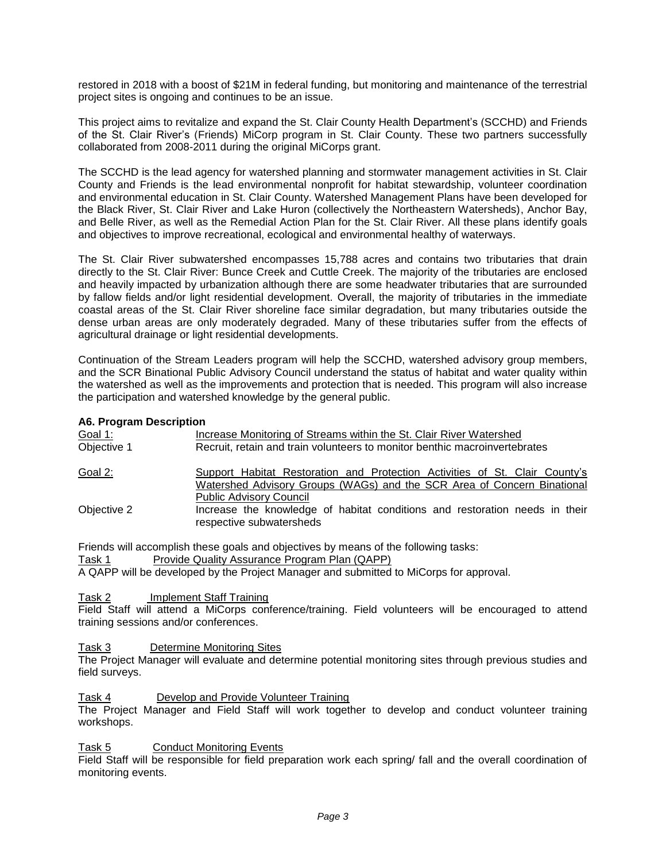restored in 2018 with a boost of \$21M in federal funding, but monitoring and maintenance of the terrestrial project sites is ongoing and continues to be an issue.

This project aims to revitalize and expand the St. Clair County Health Department's (SCCHD) and Friends of the St. Clair River's (Friends) MiCorp program in St. Clair County. These two partners successfully collaborated from 2008-2011 during the original MiCorps grant.

The SCCHD is the lead agency for watershed planning and stormwater management activities in St. Clair County and Friends is the lead environmental nonprofit for habitat stewardship, volunteer coordination and environmental education in St. Clair County. Watershed Management Plans have been developed for the Black River, St. Clair River and Lake Huron (collectively the Northeastern Watersheds), Anchor Bay, and Belle River, as well as the Remedial Action Plan for the St. Clair River. All these plans identify goals and objectives to improve recreational, ecological and environmental healthy of waterways.

The St. Clair River subwatershed encompasses 15,788 acres and contains two tributaries that drain directly to the St. Clair River: Bunce Creek and Cuttle Creek. The majority of the tributaries are enclosed and heavily impacted by urbanization although there are some headwater tributaries that are surrounded by fallow fields and/or light residential development. Overall, the majority of tributaries in the immediate coastal areas of the St. Clair River shoreline face similar degradation, but many tributaries outside the dense urban areas are only moderately degraded. Many of these tributaries suffer from the effects of agricultural drainage or light residential developments.

Continuation of the Stream Leaders program will help the SCCHD, watershed advisory group members, and the SCR Binational Public Advisory Council understand the status of habitat and water quality within the watershed as well as the improvements and protection that is needed. This program will also increase the participation and watershed knowledge by the general public.

#### **A6. Program Description**

| <u>Goal 1:</u> | Increase Monitoring of Streams within the St. Clair River Watershed                                                                                           |  |  |  |  |
|----------------|---------------------------------------------------------------------------------------------------------------------------------------------------------------|--|--|--|--|
| Objective 1    | Recruit, retain and train volunteers to monitor benthic macroinvertebrates                                                                                    |  |  |  |  |
| Goal 2:        | <b>Support Habitat Restoration and Protection Activities of St. Clair County's</b><br>Watershed Advisory Groups (WAGs) and the SCR Area of Concern Binational |  |  |  |  |
|                | <b>Public Advisory Council</b>                                                                                                                                |  |  |  |  |
| Objective 2    | Increase the knowledge of habitat conditions and restoration needs in their<br>respective subwatersheds                                                       |  |  |  |  |

Friends will accomplish these goals and objectives by means of the following tasks:

Task 1 Provide Quality Assurance Program Plan (QAPP)

A QAPP will be developed by the Project Manager and submitted to MiCorps for approval.

Task 2 Implement Staff Training

Field Staff will attend a MiCorps conference/training. Field volunteers will be encouraged to attend training sessions and/or conferences.

Task 3 Determine Monitoring Sites

The Project Manager will evaluate and determine potential monitoring sites through previous studies and field surveys.

#### Task 4 Develop and Provide Volunteer Training

The Project Manager and Field Staff will work together to develop and conduct volunteer training workshops.

Task 5 Conduct Monitoring Events

Field Staff will be responsible for field preparation work each spring/ fall and the overall coordination of monitoring events.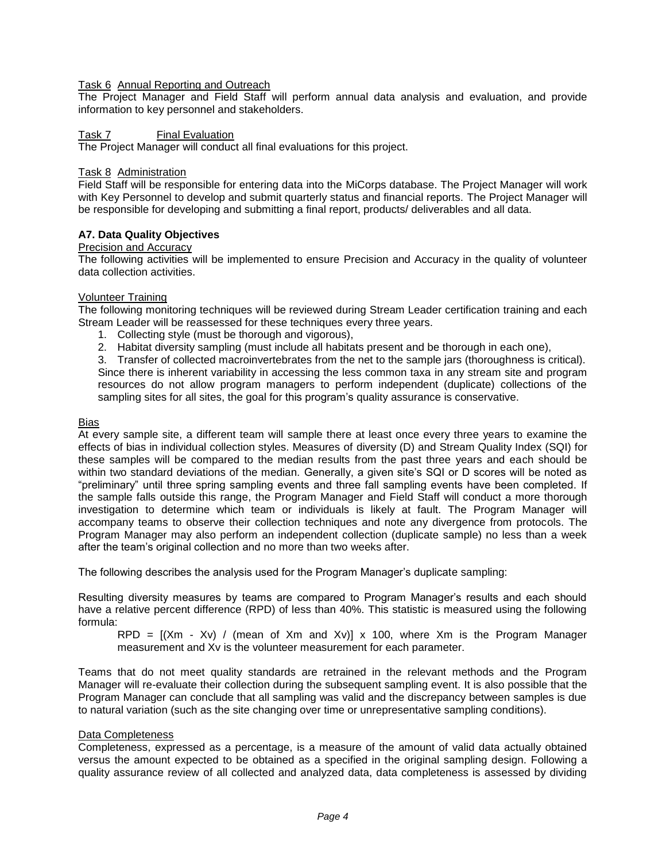# Task 6 Annual Reporting and Outreach

The Project Manager and Field Staff will perform annual data analysis and evaluation, and provide information to key personnel and stakeholders.

#### Task 7 Final Evaluation

The Project Manager will conduct all final evaluations for this project.

#### Task 8 Administration

Field Staff will be responsible for entering data into the MiCorps database. The Project Manager will work with Key Personnel to develop and submit quarterly status and financial reports. The Project Manager will be responsible for developing and submitting a final report, products/ deliverables and all data.

# **A7. Data Quality Objectives**

# Precision and Accuracy

The following activities will be implemented to ensure Precision and Accuracy in the quality of volunteer data collection activities.

#### Volunteer Training

The following monitoring techniques will be reviewed during Stream Leader certification training and each Stream Leader will be reassessed for these techniques every three years.

- 1. Collecting style (must be thorough and vigorous),
- 2. Habitat diversity sampling (must include all habitats present and be thorough in each one),

3. Transfer of collected macroinvertebrates from the net to the sample jars (thoroughness is critical). Since there is inherent variability in accessing the less common taxa in any stream site and program resources do not allow program managers to perform independent (duplicate) collections of the sampling sites for all sites, the goal for this program's quality assurance is conservative.

#### Bias

At every sample site, a different team will sample there at least once every three years to examine the effects of bias in individual collection styles. Measures of diversity (D) and Stream Quality Index (SQI) for these samples will be compared to the median results from the past three years and each should be within two standard deviations of the median. Generally, a given site's SQI or D scores will be noted as "preliminary" until three spring sampling events and three fall sampling events have been completed. If the sample falls outside this range, the Program Manager and Field Staff will conduct a more thorough investigation to determine which team or individuals is likely at fault. The Program Manager will accompany teams to observe their collection techniques and note any divergence from protocols. The Program Manager may also perform an independent collection (duplicate sample) no less than a week after the team's original collection and no more than two weeks after.

The following describes the analysis used for the Program Manager's duplicate sampling:

Resulting diversity measures by teams are compared to Program Manager's results and each should have a relative percent difference (RPD) of less than 40%. This statistic is measured using the following formula:

RPD =  $[(Xm - Xv) / (mean of Xm and Xv)] \times 100$ , where Xm is the Program Manager measurement and Xv is the volunteer measurement for each parameter.

Teams that do not meet quality standards are retrained in the relevant methods and the Program Manager will re-evaluate their collection during the subsequent sampling event. It is also possible that the Program Manager can conclude that all sampling was valid and the discrepancy between samples is due to natural variation (such as the site changing over time or unrepresentative sampling conditions).

#### Data Completeness

Completeness, expressed as a percentage, is a measure of the amount of valid data actually obtained versus the amount expected to be obtained as a specified in the original sampling design. Following a quality assurance review of all collected and analyzed data, data completeness is assessed by dividing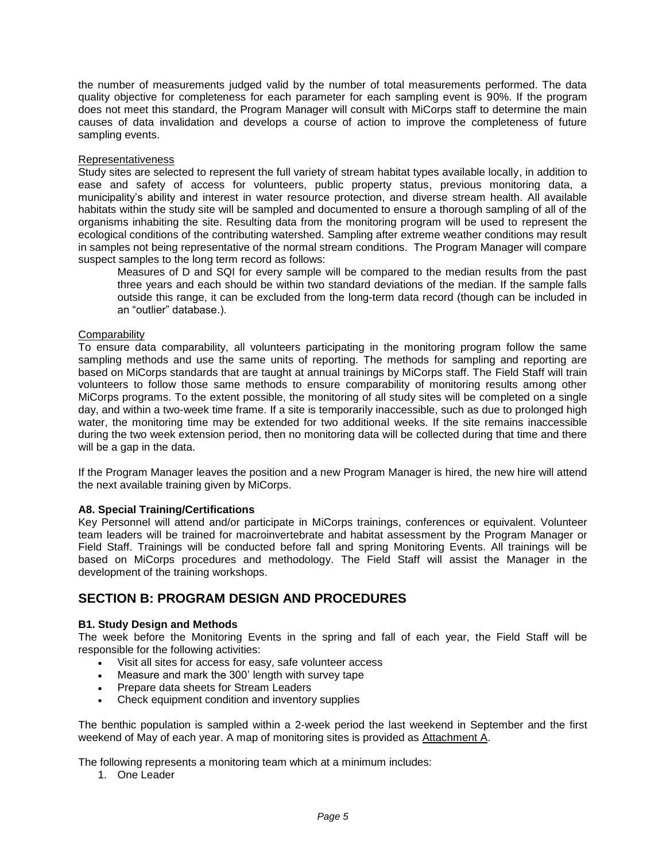the number of measurements judged valid by the number of total measurements performed. The data quality objective for completeness for each parameter for each sampling event is 90%. If the program does not meet this standard, the Program Manager will consult with MiCorps staff to determine the main causes of data invalidation and develops a course of action to improve the completeness of future sampling events.

#### Representativeness

Study sites are selected to represent the full variety of stream habitat types available locally, in addition to ease and safety of access for volunteers, public property status, previous monitoring data, a municipality's ability and interest in water resource protection, and diverse stream health. All available habitats within the study site will be sampled and documented to ensure a thorough sampling of all of the organisms inhabiting the site. Resulting data from the monitoring program will be used to represent the ecological conditions of the contributing watershed. Sampling after extreme weather conditions may result in samples not being representative of the normal stream conditions. The Program Manager will compare suspect samples to the long term record as follows:

Measures of D and SQI for every sample will be compared to the median results from the past three years and each should be within two standard deviations of the median. If the sample falls outside this range, it can be excluded from the long-term data record (though can be included in an "outlier" database.).

# **Comparability**

To ensure data comparability, all volunteers participating in the monitoring program follow the same sampling methods and use the same units of reporting. The methods for sampling and reporting are based on MiCorps standards that are taught at annual trainings by MiCorps staff. The Field Staff will train volunteers to follow those same methods to ensure comparability of monitoring results among other MiCorps programs. To the extent possible, the monitoring of all study sites will be completed on a single day, and within a two-week time frame. If a site is temporarily inaccessible, such as due to prolonged high water, the monitoring time may be extended for two additional weeks. If the site remains inaccessible during the two week extension period, then no monitoring data will be collected during that time and there will be a gap in the data.

If the Program Manager leaves the position and a new Program Manager is hired, the new hire will attend the next available training given by MiCorps.

# **A8. Special Training/Certifications**

Key Personnel will attend and/or participate in MiCorps trainings, conferences or equivalent. Volunteer team leaders will be trained for macroinvertebrate and habitat assessment by the Program Manager or Field Staff. Trainings will be conducted before fall and spring Monitoring Events. All trainings will be based on MiCorps procedures and methodology. The Field Staff will assist the Manager in the development of the training workshops.

# **SECTION B: PROGRAM DESIGN AND PROCEDURES**

#### **B1. Study Design and Methods**

The week before the Monitoring Events in the spring and fall of each year, the Field Staff will be responsible for the following activities:

- Visit all sites for access for easy, safe volunteer access
- Measure and mark the 300' length with survey tape
- Prepare data sheets for Stream Leaders
- Check equipment condition and inventory supplies

The benthic population is sampled within a 2-week period the last weekend in September and the first weekend of May of each year. A map of monitoring sites is provided as Attachment A.

The following represents a monitoring team which at a minimum includes:

1. One Leader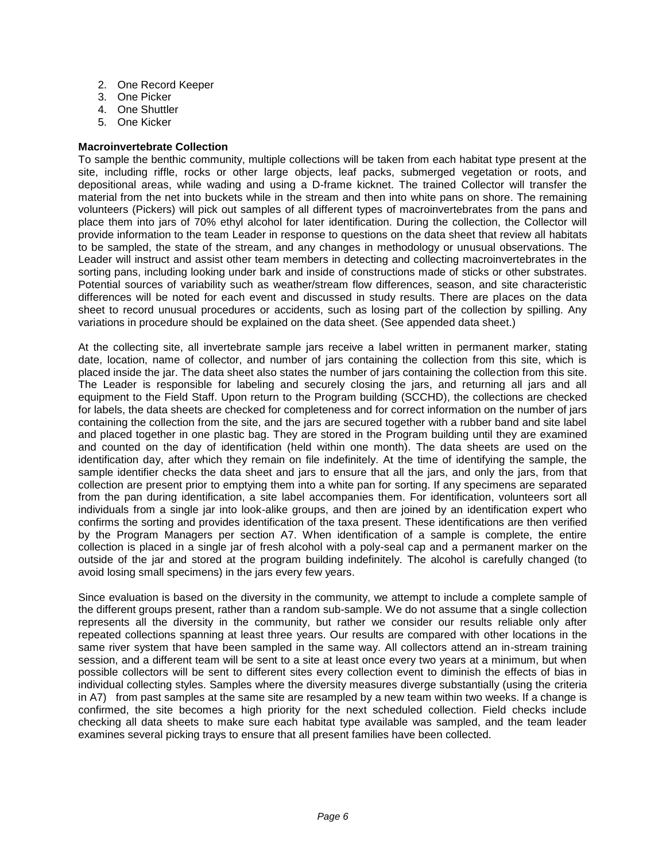- 2. One Record Keeper
- 3. One Picker
- 4. One Shuttler
- 5. One Kicker

# **Macroinvertebrate Collection**

To sample the benthic community, multiple collections will be taken from each habitat type present at the site, including riffle, rocks or other large objects, leaf packs, submerged vegetation or roots, and depositional areas, while wading and using a D-frame kicknet. The trained Collector will transfer the material from the net into buckets while in the stream and then into white pans on shore. The remaining volunteers (Pickers) will pick out samples of all different types of macroinvertebrates from the pans and place them into jars of 70% ethyl alcohol for later identification. During the collection, the Collector will provide information to the team Leader in response to questions on the data sheet that review all habitats to be sampled, the state of the stream, and any changes in methodology or unusual observations. The Leader will instruct and assist other team members in detecting and collecting macroinvertebrates in the sorting pans, including looking under bark and inside of constructions made of sticks or other substrates. Potential sources of variability such as weather/stream flow differences, season, and site characteristic differences will be noted for each event and discussed in study results. There are places on the data sheet to record unusual procedures or accidents, such as losing part of the collection by spilling. Any variations in procedure should be explained on the data sheet. (See appended data sheet.)

At the collecting site, all invertebrate sample jars receive a label written in permanent marker, stating date, location, name of collector, and number of jars containing the collection from this site, which is placed inside the jar. The data sheet also states the number of jars containing the collection from this site. The Leader is responsible for labeling and securely closing the jars, and returning all jars and all equipment to the Field Staff. Upon return to the Program building (SCCHD), the collections are checked for labels, the data sheets are checked for completeness and for correct information on the number of jars containing the collection from the site, and the jars are secured together with a rubber band and site label and placed together in one plastic bag. They are stored in the Program building until they are examined and counted on the day of identification (held within one month). The data sheets are used on the identification day, after which they remain on file indefinitely. At the time of identifying the sample, the sample identifier checks the data sheet and jars to ensure that all the jars, and only the jars, from that collection are present prior to emptying them into a white pan for sorting. If any specimens are separated from the pan during identification, a site label accompanies them. For identification, volunteers sort all individuals from a single jar into look-alike groups, and then are joined by an identification expert who confirms the sorting and provides identification of the taxa present. These identifications are then verified by the Program Managers per section A7. When identification of a sample is complete, the entire collection is placed in a single jar of fresh alcohol with a poly-seal cap and a permanent marker on the outside of the jar and stored at the program building indefinitely. The alcohol is carefully changed (to avoid losing small specimens) in the jars every few years.

Since evaluation is based on the diversity in the community, we attempt to include a complete sample of the different groups present, rather than a random sub-sample. We do not assume that a single collection represents all the diversity in the community, but rather we consider our results reliable only after repeated collections spanning at least three years. Our results are compared with other locations in the same river system that have been sampled in the same way. All collectors attend an in-stream training session, and a different team will be sent to a site at least once every two years at a minimum, but when possible collectors will be sent to different sites every collection event to diminish the effects of bias in individual collecting styles. Samples where the diversity measures diverge substantially (using the criteria in A7) from past samples at the same site are resampled by a new team within two weeks. If a change is confirmed, the site becomes a high priority for the next scheduled collection. Field checks include checking all data sheets to make sure each habitat type available was sampled, and the team leader examines several picking trays to ensure that all present families have been collected.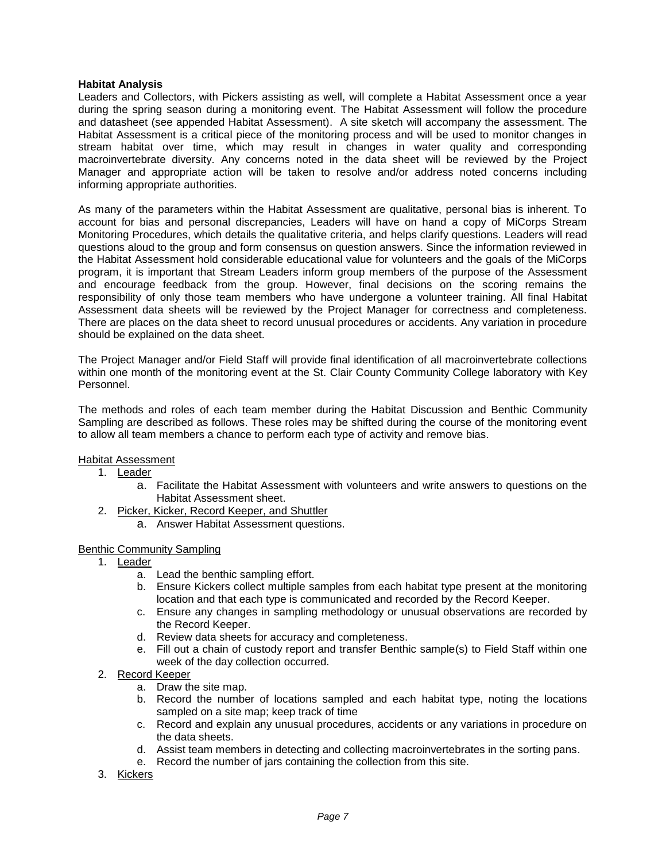#### **Habitat Analysis**

Leaders and Collectors, with Pickers assisting as well, will complete a Habitat Assessment once a year during the spring season during a monitoring event. The Habitat Assessment will follow the procedure and datasheet (see appended Habitat Assessment). A site sketch will accompany the assessment. The Habitat Assessment is a critical piece of the monitoring process and will be used to monitor changes in stream habitat over time, which may result in changes in water quality and corresponding macroinvertebrate diversity. Any concerns noted in the data sheet will be reviewed by the Project Manager and appropriate action will be taken to resolve and/or address noted concerns including informing appropriate authorities.

As many of the parameters within the Habitat Assessment are qualitative, personal bias is inherent. To account for bias and personal discrepancies, Leaders will have on hand a copy of MiCorps Stream Monitoring Procedures, which details the qualitative criteria, and helps clarify questions. Leaders will read questions aloud to the group and form consensus on question answers. Since the information reviewed in the Habitat Assessment hold considerable educational value for volunteers and the goals of the MiCorps program, it is important that Stream Leaders inform group members of the purpose of the Assessment and encourage feedback from the group. However, final decisions on the scoring remains the responsibility of only those team members who have undergone a volunteer training. All final Habitat Assessment data sheets will be reviewed by the Project Manager for correctness and completeness. There are places on the data sheet to record unusual procedures or accidents. Any variation in procedure should be explained on the data sheet.

The Project Manager and/or Field Staff will provide final identification of all macroinvertebrate collections within one month of the monitoring event at the St. Clair County Community College laboratory with Key Personnel.

The methods and roles of each team member during the Habitat Discussion and Benthic Community Sampling are described as follows. These roles may be shifted during the course of the monitoring event to allow all team members a chance to perform each type of activity and remove bias.

#### **Habitat Assessment**

- 1. Leader
	- a. Facilitate the Habitat Assessment with volunteers and write answers to questions on the Habitat Assessment sheet.
- 2. Picker, Kicker, Record Keeper, and Shuttler
	- a. Answer Habitat Assessment questions.

#### Benthic Community Sampling

- 1. Leader
	- a. Lead the benthic sampling effort.
	- b. Ensure Kickers collect multiple samples from each habitat type present at the monitoring location and that each type is communicated and recorded by the Record Keeper.
	- c. Ensure any changes in sampling methodology or unusual observations are recorded by the Record Keeper.
	- d. Review data sheets for accuracy and completeness.
	- e. Fill out a chain of custody report and transfer Benthic sample(s) to Field Staff within one week of the day collection occurred.
- 2. Record Keeper
	- a. Draw the site map.
	- b. Record the number of locations sampled and each habitat type, noting the locations sampled on a site map; keep track of time
	- c. Record and explain any unusual procedures, accidents or any variations in procedure on the data sheets.
	- d. Assist team members in detecting and collecting macroinvertebrates in the sorting pans.
	- e. Record the number of jars containing the collection from this site.
- 3. Kickers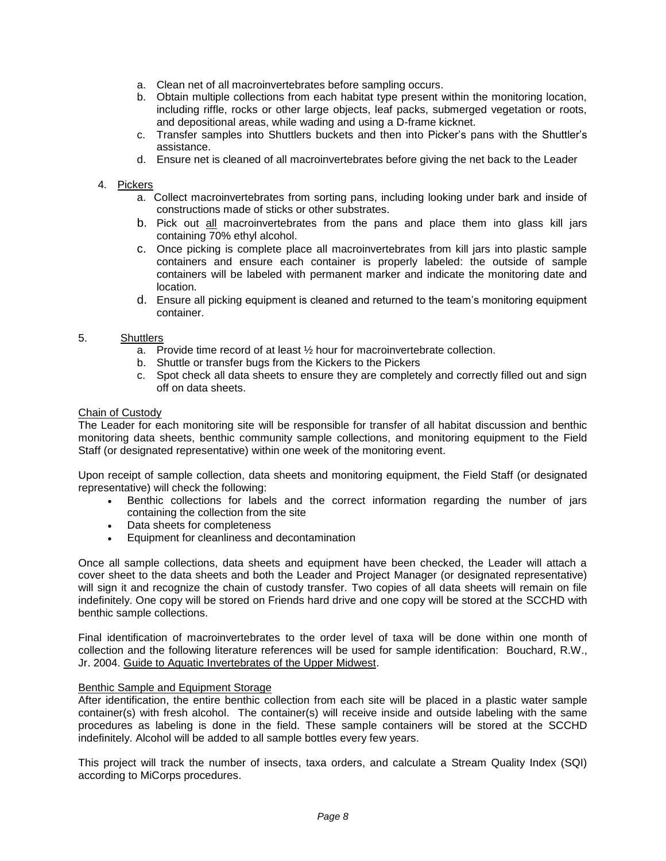- a. Clean net of all macroinvertebrates before sampling occurs.
- b. Obtain multiple collections from each habitat type present within the monitoring location, including riffle, rocks or other large objects, leaf packs, submerged vegetation or roots, and depositional areas, while wading and using a D-frame kicknet.
- c. Transfer samples into Shuttlers buckets and then into Picker's pans with the Shuttler's assistance.
- d. Ensure net is cleaned of all macroinvertebrates before giving the net back to the Leader

#### 4. Pickers

- a. Collect macroinvertebrates from sorting pans, including looking under bark and inside of constructions made of sticks or other substrates.
- b. Pick out all macroinvertebrates from the pans and place them into glass kill jars containing 70% ethyl alcohol.
- c. Once picking is complete place all macroinvertebrates from kill jars into plastic sample containers and ensure each container is properly labeled: the outside of sample containers will be labeled with permanent marker and indicate the monitoring date and location.
- d. Ensure all picking equipment is cleaned and returned to the team's monitoring equipment container.

# 5. Shuttlers

- a. Provide time record of at least ½ hour for macroinvertebrate collection.
- b. Shuttle or transfer bugs from the Kickers to the Pickers
- c. Spot check all data sheets to ensure they are completely and correctly filled out and sign off on data sheets.

#### Chain of Custody

The Leader for each monitoring site will be responsible for transfer of all habitat discussion and benthic monitoring data sheets, benthic community sample collections, and monitoring equipment to the Field Staff (or designated representative) within one week of the monitoring event.

Upon receipt of sample collection, data sheets and monitoring equipment, the Field Staff (or designated representative) will check the following:

- Benthic collections for labels and the correct information regarding the number of jars containing the collection from the site
- Data sheets for completeness
- Equipment for cleanliness and decontamination

Once all sample collections, data sheets and equipment have been checked, the Leader will attach a cover sheet to the data sheets and both the Leader and Project Manager (or designated representative) will sign it and recognize the chain of custody transfer. Two copies of all data sheets will remain on file indefinitely. One copy will be stored on Friends hard drive and one copy will be stored at the SCCHD with benthic sample collections.

Final identification of macroinvertebrates to the order level of taxa will be done within one month of collection and the following literature references will be used for sample identification: Bouchard, R.W., Jr. 2004. Guide to Aquatic Invertebrates of the Upper Midwest.

#### Benthic Sample and Equipment Storage

After identification, the entire benthic collection from each site will be placed in a plastic water sample container(s) with fresh alcohol. The container(s) will receive inside and outside labeling with the same procedures as labeling is done in the field. These sample containers will be stored at the SCCHD indefinitely. Alcohol will be added to all sample bottles every few years.

This project will track the number of insects, taxa orders, and calculate a Stream Quality Index (SQI) according to MiCorps procedures.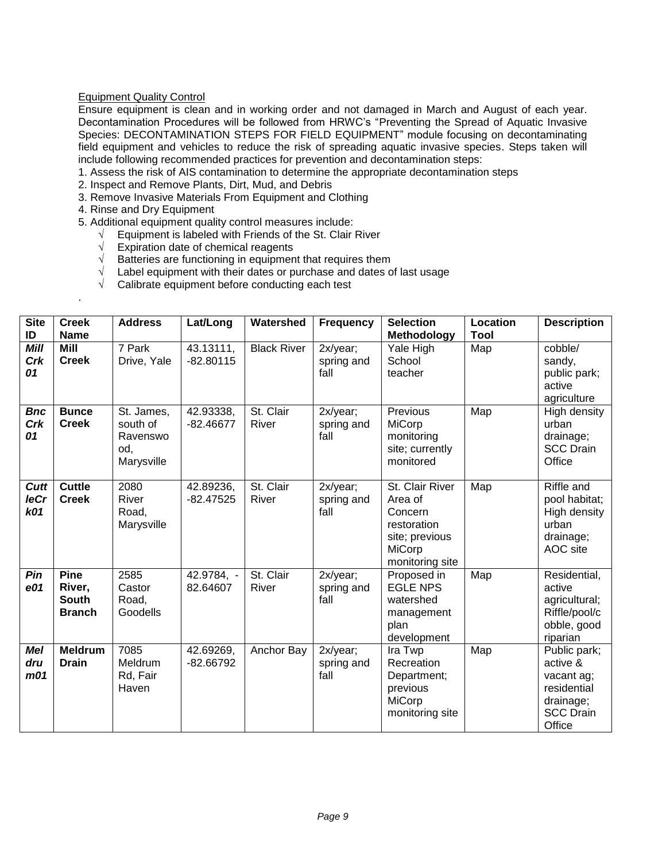# Equipment Quality Control

Ensure equipment is clean and in working order and not damaged in March and August of each year. Decontamination Procedures will be followed from HRWC's "Preventing the Spread of Aquatic Invasive Species: DECONTAMINATION STEPS FOR FIELD EQUIPMENT" module focusing on decontaminating field equipment and vehicles to reduce the risk of spreading aquatic invasive species. Steps taken will include following recommended practices for prevention and decontamination steps:

1. Assess the risk of AIS contamination to determine the appropriate decontamination steps

- 2. Inspect and Remove Plants, Dirt, Mud, and Debris
- 3. Remove Invasive Materials From Equipment and Clothing
- 4. Rinse and Dry Equipment

.

- 5. Additional equipment quality control measures include:
	- $\sqrt{\phantom{a}}$  Equipment is labeled with Friends of the St. Clair River
	- $\sqrt{\phantom{a}}$  Expiration date of chemical reagents
	- √ Batteries are functioning in equipment that requires them
	- $\sqrt{\phantom{a}}$  Label equipment with their dates or purchase and dates of last usage
	- $\sqrt{\phantom{a}}$  Calibrate equipment before conducting each test

| <b>Site</b><br>ID                    | <b>Creek</b><br><b>Name</b>                            | <b>Address</b>                                          | Lat/Long                 | Watershed          | <b>Frequency</b>               | <b>Selection</b><br>Methodology                                                                     | Location<br>Tool | <b>Description</b>                                                                               |
|--------------------------------------|--------------------------------------------------------|---------------------------------------------------------|--------------------------|--------------------|--------------------------------|-----------------------------------------------------------------------------------------------------|------------------|--------------------------------------------------------------------------------------------------|
| Mill<br>Crk<br>01                    | Mill<br><b>Creek</b>                                   | 7 Park<br>Drive, Yale                                   | 43.13111,<br>$-82.80115$ | <b>Black River</b> | 2x/year;<br>spring and<br>fall | Yale High<br>School<br>teacher                                                                      | Map              | cobble/<br>sandy,<br>public park;<br>active<br>agriculture                                       |
| <b>Bnc</b><br>Crk<br>01              | <b>Bunce</b><br><b>Creek</b>                           | St. James,<br>south of<br>Ravenswo<br>od,<br>Marysville | 42.93338,<br>$-82.46677$ | St. Clair<br>River | 2x/year;<br>spring and<br>fall | Previous<br>MiCorp<br>monitoring<br>site; currently<br>monitored                                    | Map              | High density<br>urban<br>drainage;<br><b>SCC Drain</b><br>Office                                 |
| Cutt<br><b>leCr</b><br>k01           | <b>Cuttle</b><br><b>Creek</b>                          | 2080<br>River<br>Road,<br>Marysville                    | 42.89236,<br>$-82.47525$ | St. Clair<br>River | 2x/year;<br>spring and<br>fall | St. Clair River<br>Area of<br>Concern<br>restoration<br>site; previous<br>MiCorp<br>monitoring site | Map              | Riffle and<br>pool habitat;<br>High density<br>urban<br>drainage;<br>AOC site                    |
| Pin<br>e01                           | <b>Pine</b><br>River,<br><b>South</b><br><b>Branch</b> | 2585<br>Castor<br>Road,<br>Goodells                     | 42.9784, -<br>82.64607   | St. Clair<br>River | 2x/year;<br>spring and<br>fall | Proposed in<br><b>EGLE NPS</b><br>watershed<br>management<br>plan<br>development                    | Map              | Residential,<br>active<br>agricultural;<br>Riffle/pool/c<br>obble, good<br>riparian              |
| <b>Mel</b><br>dru<br>m <sub>01</sub> | <b>Meldrum</b><br><b>Drain</b>                         | 7085<br>Meldrum<br>Rd, Fair<br>Haven                    | 42.69269,<br>$-82.66792$ | Anchor Bay         | 2x/year;<br>spring and<br>fall | Ira Twp<br>Recreation<br>Department;<br>previous<br>MiCorp<br>monitoring site                       | Map              | Public park;<br>active &<br>vacant ag;<br>residential<br>drainage;<br><b>SCC Drain</b><br>Office |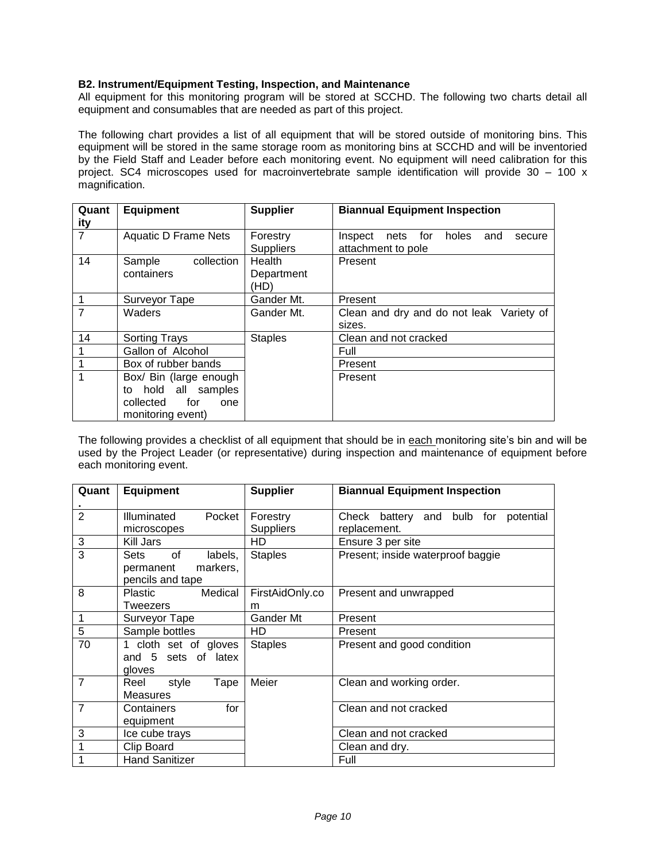# **B2. Instrument/Equipment Testing, Inspection, and Maintenance**

All equipment for this monitoring program will be stored at SCCHD. The following two charts detail all equipment and consumables that are needed as part of this project.

The following chart provides a list of all equipment that will be stored outside of monitoring bins. This equipment will be stored in the same storage room as monitoring bins at SCCHD and will be inventoried by the Field Staff and Leader before each monitoring event. No equipment will need calibration for this project. SC4 microscopes used for macroinvertebrate sample identification will provide 30 – 100 x magnification.

| Quant          | <b>Equipment</b>            | <b>Supplier</b>  | <b>Biannual Equipment Inspection</b>          |
|----------------|-----------------------------|------------------|-----------------------------------------------|
| <u>ity</u>     |                             |                  |                                               |
| $\overline{7}$ | <b>Aquatic D Frame Nets</b> | Forestry         | nets for<br>Inspect<br>holes<br>and<br>secure |
|                |                             | <b>Suppliers</b> | attachment to pole                            |
| 14             | collection<br>Sample        | Health           | Present                                       |
|                | containers                  | Department       |                                               |
|                |                             | (HD)             |                                               |
|                | Surveyor Tape               | Gander Mt.       | Present                                       |
| 7              | Waders                      | Gander Mt.       | Clean and dry and do not leak Variety of      |
|                |                             |                  | sizes.                                        |
| 14             | <b>Sorting Trays</b>        | <b>Staples</b>   | Clean and not cracked                         |
|                | Gallon of Alcohol           |                  | Full                                          |
|                | Box of rubber bands         |                  | Present                                       |
|                | Box/ Bin (large enough      |                  | Present                                       |
|                | hold all samples<br>to      |                  |                                               |
|                | for<br>collected<br>one     |                  |                                               |
|                | monitoring event)           |                  |                                               |

The following provides a checklist of all equipment that should be in each monitoring site's bin and will be used by the Project Leader (or representative) during inspection and maintenance of equipment before each monitoring event.

| Quant          | <b>Equipment</b>                                                   | <b>Supplier</b>              | <b>Biannual Equipment Inspection</b>                    |
|----------------|--------------------------------------------------------------------|------------------------------|---------------------------------------------------------|
| $\overline{2}$ | Illuminated<br>Pocket<br>microscopes                               | Forestry<br><b>Suppliers</b> | battery and bulb for potential<br>Check<br>replacement. |
| 3              | Kill Jars                                                          | HD.                          | Ensure 3 per site                                       |
| $\overline{3}$ | of<br>Sets<br>labels,<br>markers,<br>permanent<br>pencils and tape | <b>Staples</b>               | Present; inside waterproof baggie                       |
| 8              | Medical<br>Plastic<br>Tweezers                                     | FirstAidOnly.co<br>m         | Present and unwrapped                                   |
| 1              | Surveyor Tape                                                      | Gander Mt                    | Present                                                 |
| 5              | Sample bottles                                                     | HD.                          | Present                                                 |
| 70             | 1 cloth set of gloves<br>and 5 sets of latex<br>gloves             | <b>Staples</b>               | Present and good condition                              |
| $\overline{7}$ | Reel<br>style<br>Tape<br><b>Measures</b>                           | Meier                        | Clean and working order.                                |
| $\overline{7}$ | for<br>Containers<br>equipment                                     |                              | Clean and not cracked                                   |
| 3              | Ice cube trays                                                     |                              | Clean and not cracked                                   |
| 1              | Clip Board                                                         |                              | Clean and dry.                                          |
| 1              | <b>Hand Sanitizer</b>                                              |                              | Full                                                    |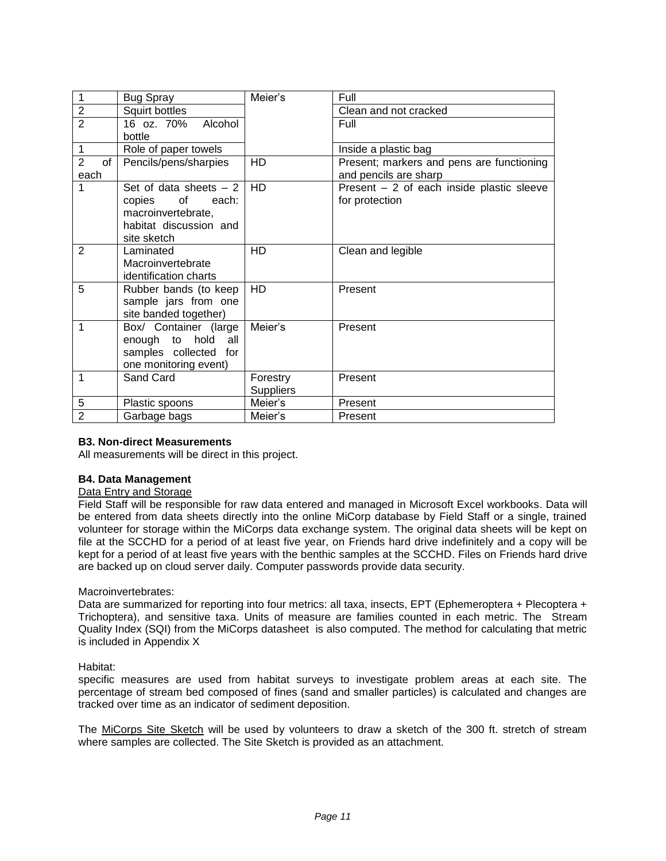| 1                    | <b>Bug Spray</b>        | Meier's   | Full                                       |
|----------------------|-------------------------|-----------|--------------------------------------------|
| $\overline{2}$       | Squirt bottles          |           | Clean and not cracked                      |
| $\overline{2}$       | 16 oz. 70%<br>Alcohol   |           | Full                                       |
|                      | bottle                  |           |                                            |
|                      | Role of paper towels    |           | Inside a plastic bag                       |
| $\overline{2}$<br>of | Pencils/pens/sharpies   | <b>HD</b> | Present; markers and pens are functioning  |
| each                 |                         |           | and pencils are sharp                      |
| 1                    | Set of data sheets $-2$ | <b>HD</b> | Present $-2$ of each inside plastic sleeve |
|                      | copies<br>of<br>each:   |           | for protection                             |
|                      | macroinvertebrate,      |           |                                            |
|                      | habitat discussion and  |           |                                            |
|                      | site sketch             |           |                                            |
| 2                    | Laminated               | <b>HD</b> | Clean and legible                          |
|                      | Macroinvertebrate       |           |                                            |
|                      | identification charts   |           |                                            |
| 5                    | Rubber bands (to keep   | HD        | Present                                    |
|                      | sample jars from one    |           |                                            |
|                      | site banded together)   |           |                                            |
| 1                    | Box/ Container (large   | Meier's   | Present                                    |
|                      | enough to hold<br>all   |           |                                            |
|                      | samples collected for   |           |                                            |
|                      | one monitoring event)   |           |                                            |
| 1                    | Sand Card               | Forestry  | Present                                    |
|                      |                         | Suppliers |                                            |
| $\overline{5}$       | Plastic spoons          | Meier's   | Present                                    |
| $\overline{2}$       | Garbage bags            | Meier's   | Present                                    |

#### **B3. Non-direct Measurements**

All measurements will be direct in this project.

#### **B4. Data Management**

#### Data Entry and Storage

Field Staff will be responsible for raw data entered and managed in Microsoft Excel workbooks. Data will be entered from data sheets directly into the online MiCorp database by Field Staff or a single, trained volunteer for storage within the MiCorps data exchange system. The original data sheets will be kept on file at the SCCHD for a period of at least five year, on Friends hard drive indefinitely and a copy will be kept for a period of at least five years with the benthic samples at the SCCHD. Files on Friends hard drive are backed up on cloud server daily. Computer passwords provide data security.

#### Macroinvertebrates:

Data are summarized for reporting into four metrics: all taxa, insects, EPT (Ephemeroptera + Plecoptera + Trichoptera), and sensitive taxa. Units of measure are families counted in each metric. The Stream Quality Index (SQI) from the MiCorps datasheet is also computed. The method for calculating that metric is included in Appendix X

#### Habitat:

specific measures are used from habitat surveys to investigate problem areas at each site. The percentage of stream bed composed of fines (sand and smaller particles) is calculated and changes are tracked over time as an indicator of sediment deposition.

The MiCorps Site Sketch will be used by volunteers to draw a sketch of the 300 ft. stretch of stream where samples are collected. The Site Sketch is provided as an attachment.